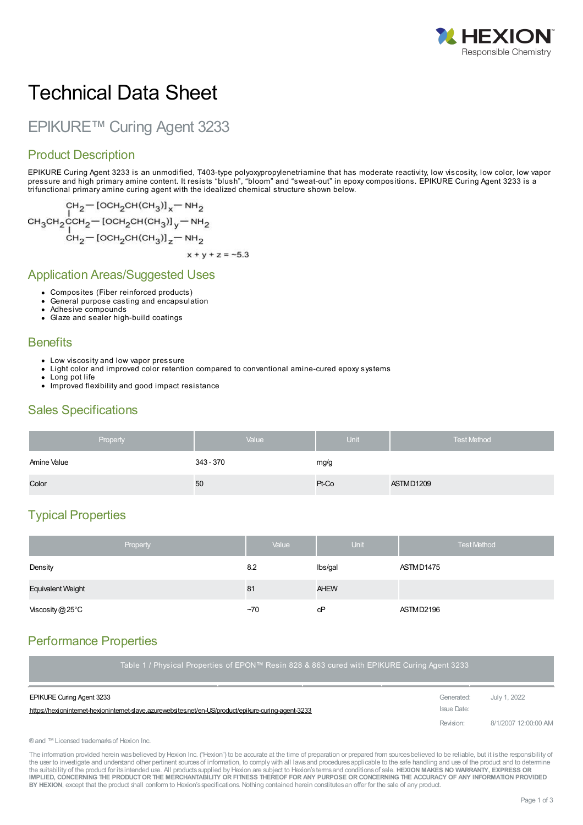

# Technical Data Sheet

## EPIKURE™ Curing Agent 3233

#### Product Description

EPIKURE Curing Agent 3233 is an unmodified, T403-type polyoxypropylenetriamine that has moderate reactivity, low viscosity, low color, low vapor pressure and high primary amine content. It resists "blush", "bloom" and "sweat-out" in epoxy compositions. EPIKURE Curing Agent 3233 is a trifunctional primary amine curing agent with the idealized chemical structure shown below.

$$
CH_{2} = [OCH_{2}CH(CH_{3})]_{x} = NH_{2}
$$
\n
$$
CH_{3}CH_{2}CCH_{2} = [OCH_{2}CH(CH_{3})]_{y} = NH_{2}
$$
\n
$$
CH_{2} = [OCH_{2}CH(CH_{3})]_{z} = NH_{2}
$$
\n
$$
x + y + z = -5.3
$$

#### Application Areas/Suggested Uses

- Composites (Fiber reinforced products)
- General purpose casting and encapsulation
- Adhesive compounds
- Glaze and sealer high-build coatings

#### **Benefits**

- Low viscosity and low vapor pressure
- Light color and improved color retention compared to conventional amine-cured epoxy systems
- Long pot life
- Improved flexibility and good impact resistance

#### Sales Specifications

| Property    | Value     | <b>Unit</b> | <b>Test Method</b> |
|-------------|-----------|-------------|--------------------|
| Amine Value | 343 - 370 | mg/g        |                    |
| Color       | 50        | Pt-Co       | ASTMD1209          |

### Typical Properties

| Property                 | Value | Unit        | <b>Test Method</b> |
|--------------------------|-------|-------------|--------------------|
| Density                  | 8.2   | lbs/gal     | ASTMD1475          |
| <b>Equivalent Weight</b> | 81    | <b>AHEW</b> |                    |
| Viscosity@25°C           | $-70$ | сP          | ASTMD2196          |

#### Performance Properties

| Table 1 / Physical Properties of EPON™ Resin 828 & 863 cured with EPIKURE Curing Agent 3233         |             |                      |  |
|-----------------------------------------------------------------------------------------------------|-------------|----------------------|--|
| <b>EPIKURE Curing Agent 3233</b>                                                                    | Generated:  | July 1, 2022         |  |
| https://hexionintemet-hexionintemet-slave.azurewebsites.net/en-US/product/epikure-curing-agent-3233 | Issue Date: |                      |  |
|                                                                                                     | Revision:   | 8/1/2007 12:00:00 AM |  |

#### ®and ™Licensed trademarksof Hexion Inc.

The information provided herein was believed by Hexion Inc. ("Hexion") to be accurate at the time of preparation or prepared from sources believed to be reliable, but it is the responsibility of the user to investigate and understand other pertinent sources of information, to comply with all laws and procedures applicable to the safe handling and use of the product and to determine the suitability of the product for itsintended use. All productssupplied by Hexion are subject to Hexion'stermsand conditionsof sale. **HEXION MAKES NO WARRANTY, EXPRESS OR** IMPLIED, CONCERNING THE PRODUCT OR THE MERCHANTABILITY OR FITNESS THEREOF FOR ANY PURPOSE OR CONCERNING THE ACCURACY OF ANY INFORMATION PROVIDED **BY HEXION**, except that the product shall conform to Hexion'sspecifications. Nothing contained herein constitutesan offer for the sale of any product.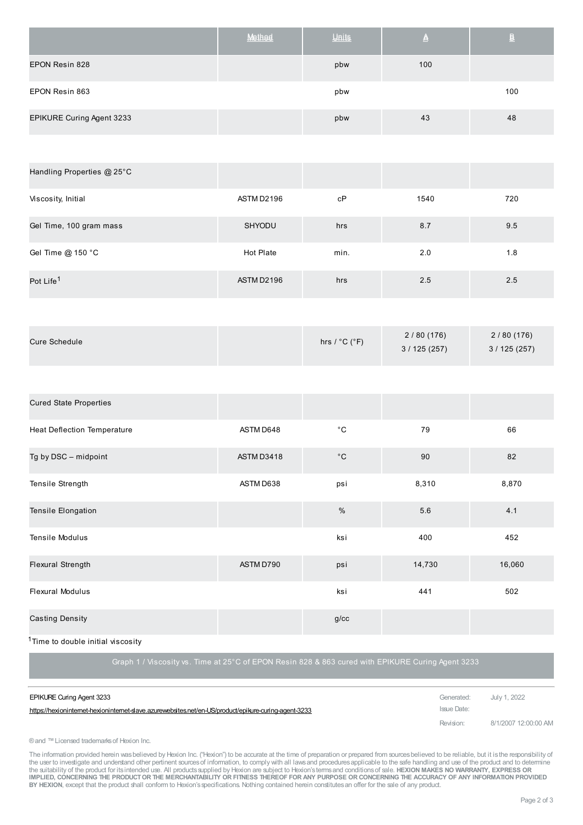|                           | Method | Units | ≜   | B   |
|---------------------------|--------|-------|-----|-----|
| EPON Resin 828            |        | pbw   | 100 |     |
| EPON Resin 863            |        | pbw   |     | 100 |
| EPIKURE Curing Agent 3233 |        | pbw   | 43  | 48  |

| Handling Properties @ 25°C |            |      |      |     |
|----------------------------|------------|------|------|-----|
| Viscosity, Initial         | ASTM D2196 | cP   | 1540 | 720 |
| Gel Time, 100 gram mass    | SHYODU     | hrs  | 8.7  | 9.5 |
| Gel Time @ 150 °C          | Hot Plate  | min. | 2.0  | 1.8 |
| Pot Life <sup>1</sup>      | ASTM D2196 | hrs  | 2.5  | 2.5 |

| <b>Cured State Properties</b>            |            |               |        |        |
|------------------------------------------|------------|---------------|--------|--------|
| <b>Heat Deflection Temperature</b>       | ASTM D648  | $^{\circ}$ C  | 79     | 66     |
| Tg by DSC - midpoint                     | ASTM D3418 | $^{\circ}$ C  | 90     | 82     |
| Tensile Strength                         | ASTM D638  | psi           | 8,310  | 8,870  |
| Tensile Elongation                       |            | $\frac{0}{0}$ | 5.6    | 4.1    |
| Tensile Modulus                          |            | ksi           | 400    | 452    |
| <b>Flexural Strength</b>                 | ASTM D790  | psi           | 14,730 | 16,060 |
| <b>Flexural Modulus</b>                  |            | ksi           | 441    | 502    |
| <b>Casting Density</b><br>$\overline{a}$ |            | g/cc          |        |        |

<sup>1</sup>Time to double initial viscosity

Graph 1 / Viscosity vs. Time at 25°C of EPON Resin 828 & 863 cured with EPIKURE Curing Agent 3233

| <b>EPIKURE Curing Agent 3233</b>                                                                      | Generated: July 1, 2022 |                      |
|-------------------------------------------------------------------------------------------------------|-------------------------|----------------------|
| https://hexioninternet-hexioninternet-slave.azurewebsites.net/en-US/product/epikure-curing-agent-3233 | Issue Date:             |                      |
|                                                                                                       | Revision:               | 8/1/2007 12:00:00 AM |

®and ™Licensed trademarksof Hexion Inc.

The information provided herein wasbelieved by Hexion Inc. ("Hexion") to be accurate at the time of preparation or prepared from sources believed to be reliable, but it is the responsibility of<br>the user to investigate and IMPLIED, CONCERNING THE PRODUCT OR THE MERCHANTABILITY OR FITNESS THEREOF FOR ANY PURPOSE OR CONCERNING THE ACCURACY OF ANY INFORMATION PROVIDED **BY HEXION**, except that the product shall conform to Hexion'sspecifications. Nothing contained herein constitutesan offer for the sale of any product.